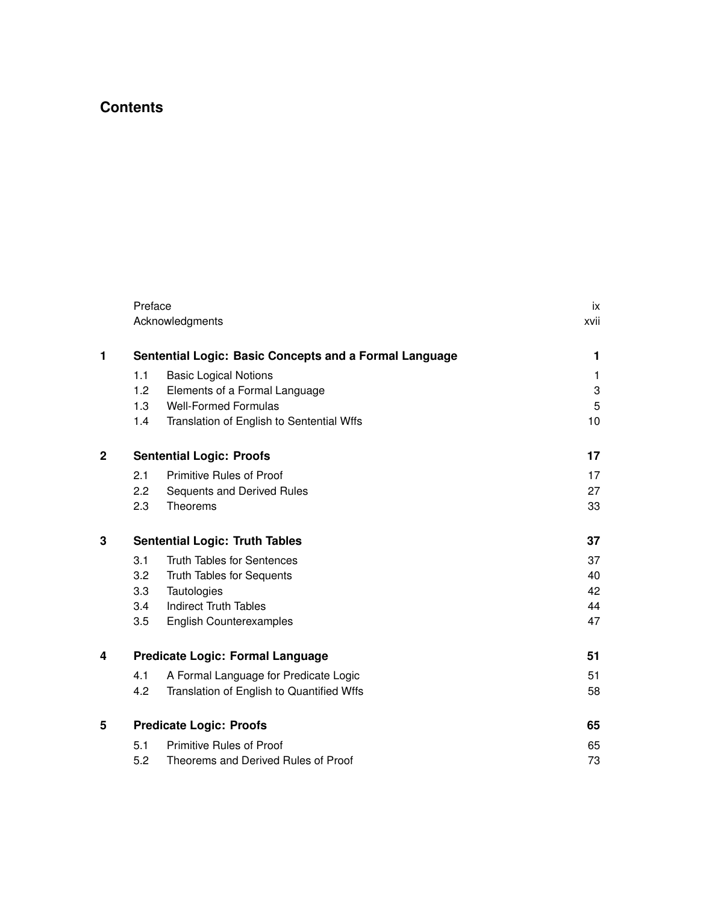## **Contents**

|              | Preface                                                | ix                                        |      |
|--------------|--------------------------------------------------------|-------------------------------------------|------|
|              |                                                        | Acknowledgments                           | xvii |
| 1            | Sentential Logic: Basic Concepts and a Formal Language | 1                                         |      |
|              | 1.1                                                    | <b>Basic Logical Notions</b>              | 1    |
|              | 1.2                                                    | Elements of a Formal Language             | 3    |
|              | 1.3                                                    | <b>Well-Formed Formulas</b>               | 5    |
|              | 1.4                                                    | Translation of English to Sentential Wffs | 10   |
| $\mathbf{2}$ | <b>Sentential Logic: Proofs</b>                        | 17                                        |      |
|              | 2.1                                                    | Primitive Rules of Proof                  | 17   |
|              | $2.2\phantom{0}$                                       | Sequents and Derived Rules                | 27   |
|              | 2.3                                                    | Theorems                                  | 33   |
| 3            | <b>Sentential Logic: Truth Tables</b>                  |                                           | 37   |
|              | 3.1                                                    | <b>Truth Tables for Sentences</b>         | 37   |
|              | 3.2                                                    | <b>Truth Tables for Sequents</b>          | 40   |
|              | 3.3                                                    | Tautologies                               | 42   |
|              | 3.4                                                    | <b>Indirect Truth Tables</b>              | 44   |
|              | 3.5                                                    | <b>English Counterexamples</b>            | 47   |
| 4            | Predicate Logic: Formal Language                       | 51                                        |      |
|              | 4.1                                                    | A Formal Language for Predicate Logic     | 51   |
|              | 4.2                                                    | Translation of English to Quantified Wffs | 58   |
| 5            | <b>Predicate Logic: Proofs</b>                         | 65                                        |      |
|              | 5.1                                                    | <b>Primitive Rules of Proof</b>           | 65   |
|              | 5.2                                                    | Theorems and Derived Rules of Proof       | 73   |